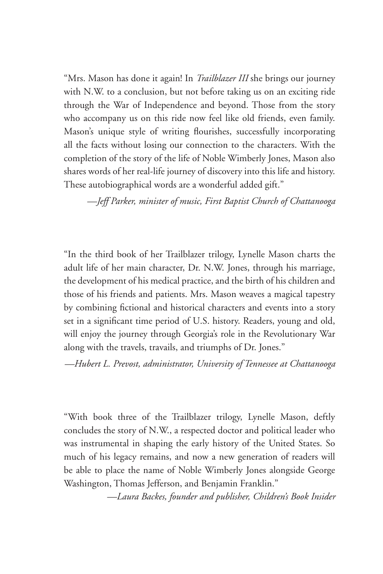"Mrs. Mason has done it again! In *Trailblazer III* she brings our journey with N.W. to a conclusion, but not before taking us on an exciting ride through the War of Independence and beyond. Those from the story who accompany us on this ride now feel like old friends, even family. Mason's unique style of writing flourishes, successfully incorporating all the facts without losing our connection to the characters. With the completion of the story of the life of Noble Wimberly Jones, Mason also shares words of her real-life journey of discovery into this life and history. These autobiographical words are a wonderful added gift."

*—Jeff Parker, minister of music, First Baptist Church of Chattanooga*

"In the third book of her Trailblazer trilogy, Lynelle Mason charts the adult life of her main character, Dr. N.W. Jones, through his marriage, the development of his medical practice, and the birth of his children and those of his friends and patients. Mrs. Mason weaves a magical tapestry by combining fictional and historical characters and events into a story set in a significant time period of U.S. history. Readers, young and old, will enjoy the journey through Georgia's role in the Revolutionary War along with the travels, travails, and triumphs of Dr. Jones."

*—Hubert L. Prevost, administrator, University of Tennessee at Chattanooga*

"With book three of the Trailblazer trilogy, Lynelle Mason, deftly concludes the story of N.W., a respected doctor and political leader who was instrumental in shaping the early history of the United States. So much of his legacy remains, and now a new generation of readers will be able to place the name of Noble Wimberly Jones alongside George Washington, Thomas Jefferson, and Benjamin Franklin."

*—Laura Backes, founder and publisher, Children's Book Insider*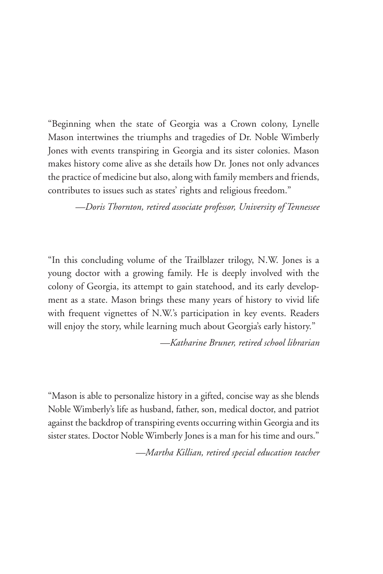"Beginning when the state of Georgia was a Crown colony, Lynelle Mason intertwines the triumphs and tragedies of Dr. Noble Wimberly Jones with events transpiring in Georgia and its sister colonies. Mason makes history come alive as she details how Dr. Jones not only advances the practice of medicine but also, along with family members and friends, contributes to issues such as states' rights and religious freedom."

*—Doris Thornton, retired associate professor, University of Tennessee*

"In this concluding volume of the Trailblazer trilogy, N.W. Jones is a young doctor with a growing family. He is deeply involved with the colony of Georgia, its attempt to gain statehood, and its early development as a state. Mason brings these many years of history to vivid life with frequent vignettes of N.W.'s participation in key events. Readers will enjoy the story, while learning much about Georgia's early history."

*—Katharine Bruner, retired school librarian*

"Mason is able to personalize history in a gifted, concise way as she blends Noble Wimberly's life as husband, father, son, medical doctor, and patriot against the backdrop of transpiring events occurring within Georgia and its sister states. Doctor Noble Wimberly Jones is a man for his time and ours."

*—Martha Killian, retired special education teacher*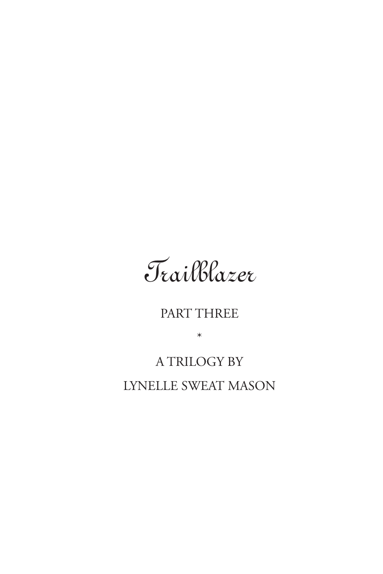

## PART THREE

\*

## A TRILOGY BY LYNELLE SWEAT MASON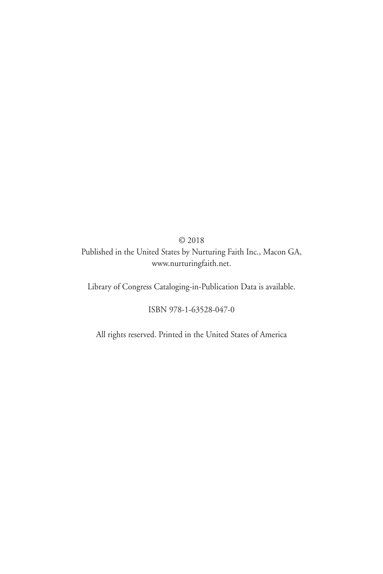© 2018 Published in the United States by Nurturing Faith Inc., Macon GA, www.nurturingfaith.net.

Library of Congress Cataloging-in-Publication Data is available.

ISBN 978-1-63528-047-0

All rights reserved. Printed in the United States of America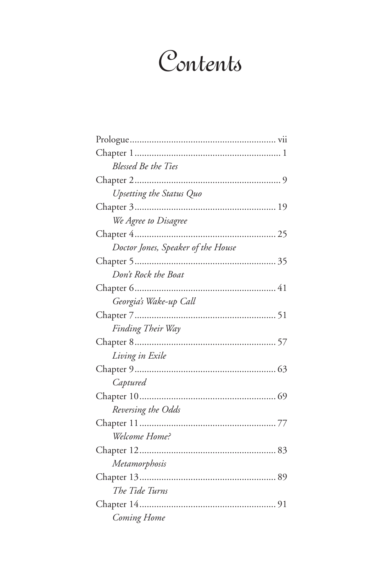## Contents

| <b>Blessed Be the Ties</b>         |
|------------------------------------|
|                                    |
| Upsetting the Status Quo           |
|                                    |
| We Agree to Disagree               |
|                                    |
| Doctor Jones, Speaker of the House |
|                                    |
| Don't Rock the Boat                |
|                                    |
| Georgia's Wake-up Call             |
|                                    |
| Finding Their Way                  |
|                                    |
| Living in Exile                    |
|                                    |
| Captured                           |
|                                    |
| Reversing the Odds                 |
|                                    |
| Welcome Home?                      |
|                                    |
| Metamorphosis                      |
|                                    |
| The Tide Turns                     |
|                                    |
| Coming Home                        |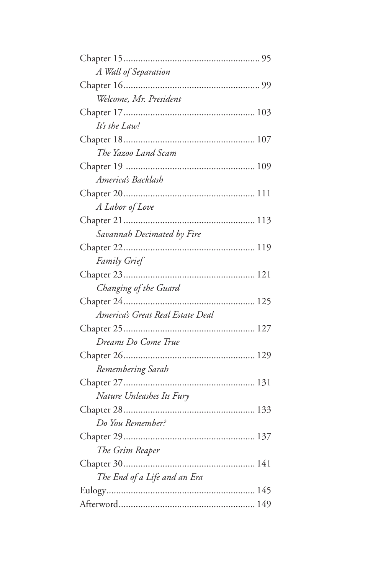| A Wall of Separation             |
|----------------------------------|
|                                  |
| Welcome, Mr. President           |
|                                  |
| It's the Law!                    |
|                                  |
| The Yazoo Land Scam              |
|                                  |
| America's Backlash               |
|                                  |
| A Labor of Love                  |
|                                  |
| Savannah Decimated by Fire       |
|                                  |
| <b>Family Grief</b>              |
|                                  |
| Changing of the Guard            |
|                                  |
| America's Great Real Estate Deal |
|                                  |
| Dreams Do Come True              |
|                                  |
| Remembering Sarah                |
|                                  |
| Nature Unleashes Its Fury        |
|                                  |
| Do You Remember?                 |
|                                  |
| The Grim Reaper                  |
|                                  |
| The End of a Life and an Era     |
|                                  |
|                                  |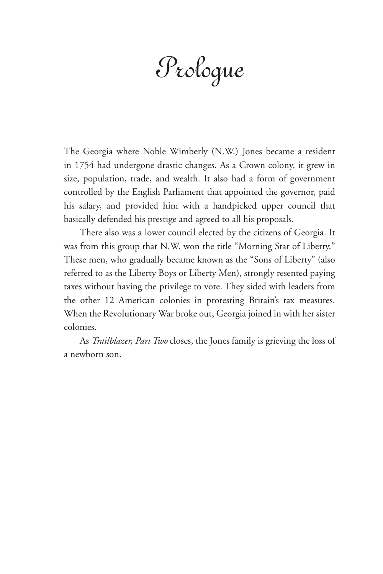Prologue

The Georgia where Noble Wimberly (N.W.) Jones became a resident in 1754 had undergone drastic changes. As a Crown colony, it grew in size, population, trade, and wealth. It also had a form of government controlled by the English Parliament that appointed the governor, paid his salary, and provided him with a handpicked upper council that basically defended his prestige and agreed to all his proposals.

There also was a lower council elected by the citizens of Georgia. It was from this group that N.W. won the title "Morning Star of Liberty." These men, who gradually became known as the "Sons of Liberty" (also referred to as the Liberty Boys or Liberty Men), strongly resented paying taxes without having the privilege to vote. They sided with leaders from the other 12 American colonies in protesting Britain's tax measures. When the Revolutionary War broke out, Georgia joined in with her sister colonies.

As *Trailblazer, Part Two* closes, the Jones family is grieving the loss of a newborn son.